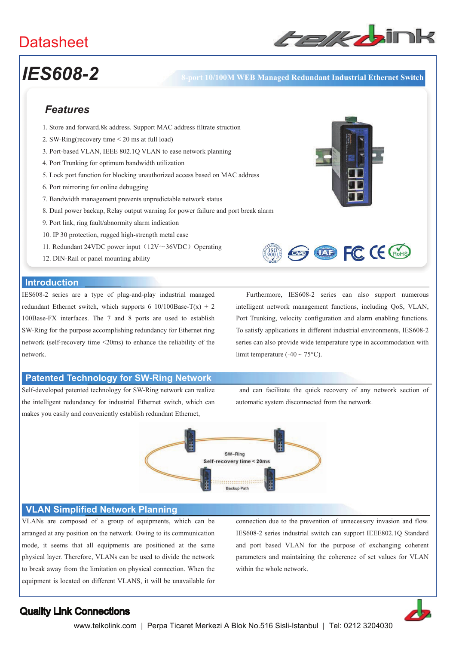

# *IES608-2* **8-port 10/100M WEB Managed Redundant Industrial Ethernet Switch**

## *Features*

- 1. Store and forward.8k address. Support MAC address filtrate struction
- 2. SW-Ring(recovery time < 20 ms at full load)
- 3. Port-based VLAN, IEEE 802.1Q VLAN to ease network planning
- 4. Port Trunking for optimum bandwidth utilization
- 5. Lock port function for blocking unauthorized access based on MAC address
- 6. Port mirroring for online debugging
- 7. Bandwidth management prevents unpredictable network status
- 8. Dual power backup, Relay output warning for power failure and port break alarm
- 9. Port link, ring fault/abnormity alarm indication
- 10. IP 30 protection, rugged high-strength metal case
- 11. Redundant 24VDC power input  $(12V \sim 36VDC)$  Operating
- 12. DIN-Rail or panel mounting ability

### **Introduction**

IES608-2 series are a type of plug-and-play industrial managed redundant Ethernet switch, which supports 6 10/100Base-T(x) + 2 100Base-FX interfaces. The 7 and 8 ports are used to establish SW-Ring for the purpose accomplishing redundancy for Ethernet ring network (self-recovery time <20ms) to enhance the reliability of the network.

 Furthermore, IES608-2 series can also support numerous intelligent network management functions, including QoS, VLAN, Port Trunking, velocity configuration and alarm enabling functions. To satisfy applications in different industrial environments, IES608-2 series can also provide wide temperature type in accommodation with limit temperature  $(-40 \sim 75^{\circ}C)$ .

**OND FC CE CROHS** 

### **Patented Technology for SW-Ring Network**

Self-developed patented technology for SW-Ring network can realize the intelligent redundancy for industrial Ethernet switch, which can makes you easily and conveniently establish redundant Ethernet,

 and can facilitate the quick recovery of any network section of automatic system disconnected from the network.



### **VLAN Simplified Network Planning**

VLANs are composed of a group of equipments, which can be arranged at any position on the network. Owing to its communication mode, it seems that all equipments are positioned at the same physical layer. Therefore, VLANs can be used to divide the network to break away from the limitation on physical connection. When the equipment is located on different VLANS, it will be unavailable for connection due to the prevention of unnecessary invasion and flow. IES608-2 series industrial switch can support IEEE802.1Q Standard and port based VLAN for the purpose of exchanging coherent parameters and maintaining the coherence of set values for VLAN within the whole network.

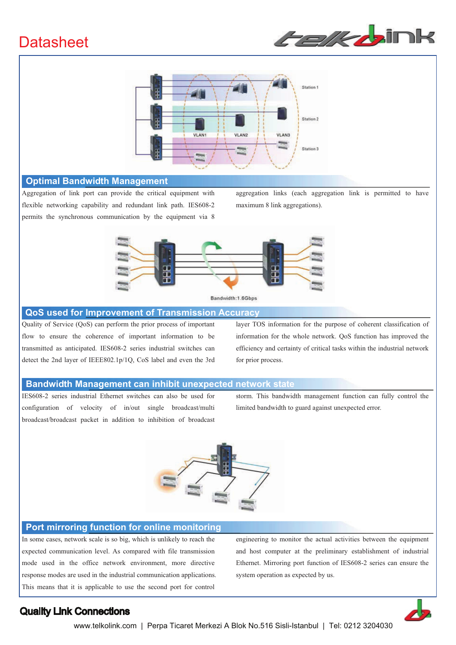



### **Optimal Bandwidth Management**

Aggregation of link port can provide the critical equipment with flexible networking capability and redundant link path. IES608-2 permits the synchronous communication by the equipment via 8

aggregation links (each aggregation link is permitted to have maximum 8 link aggregations).



### **QoS used for Improvement of Transmission Accuracy**

Quality of Service (QoS) can perform the prior process of important flow to ensure the coherence of important information to be transmitted as anticipated. IES608-2 series industrial switches can detect the 2nd layer of IEEE802.1p/1Q, CoS label and even the 3rd layer TOS information for the purpose of coherent classification of information for the whole network. QoS function has improved the efficiency and certainty of critical tasks within the industrial network for prior process.

### **Bandwidth Management can inhibit unexpected network state**

IES608-2 series industrial Ethernet switches can also be used for configuration of velocity of in/out single broadcast/multi broadcast/broadcast packet in addition to inhibition of broadcast storm. This bandwidth management function can fully control the limited bandwidth to guard against unexpected error.



### **Port mirroring function for online monitoring**

In some cases, network scale is so big, which is unlikely to reach the expected communication level. As compared with file transmission mode used in the office network environment, more directive response modes are used in the industrial communication applications. This means that it is applicable to use the second port for control

engineering to monitor the actual activities between the equipment and host computer at the preliminary establishment of industrial Ethernet. Mirroring port function of IES608-2 series can ensure the system operation as expected by us.

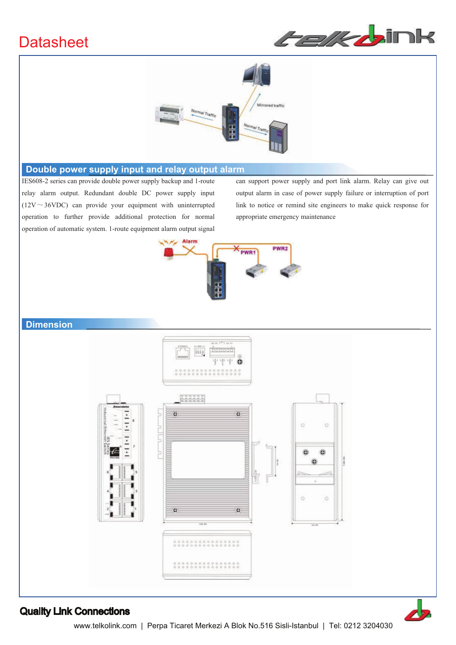



### **Double power supply input and relay output alarm**

IES608-2 series can provide double power supply backup and 1-route relay alarm output. Redundant double DC power supply input ( $12V \sim 36VDC$ ) can provide your equipment with uninterrupted operation to further provide additional protection for normal operation of automatic system. 1-route equipment alarm output signal can support power supply and port link alarm. Relay can give out output alarm in case of power supply failure or interruption of port link to notice or remind site engineers to make quick response for appropriate emergency maintenance



### **Dimension**